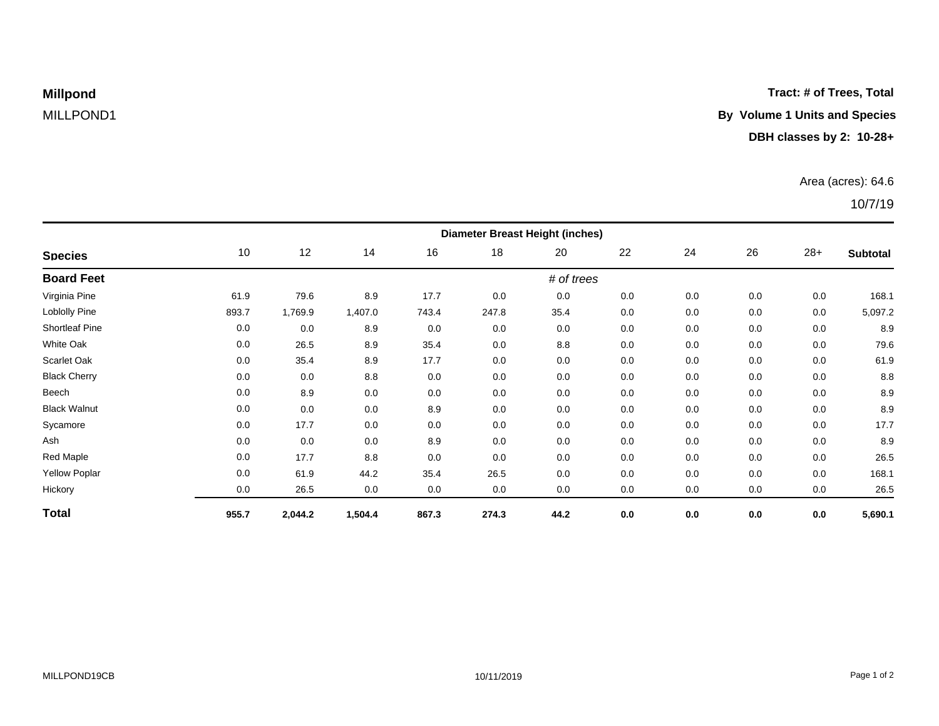**Tract: # of Trees, Total**

# **Millpond**

## MILLPOND1 **By Volume 1 Units and Species**

### **DBH classes by 2: 10-28+**

### Area (acres): 64.6

### 10/7/19

| <b>Species</b>        | <b>Diameter Breast Height (inches)</b> |         |         |       |       |      |     |     |     |       |                 |  |
|-----------------------|----------------------------------------|---------|---------|-------|-------|------|-----|-----|-----|-------|-----------------|--|
|                       | 10                                     | 12      | 14      | 16    | 18    | 20   | 22  | 24  | 26  | $28+$ | <b>Subtotal</b> |  |
| <b>Board Feet</b>     | # of trees                             |         |         |       |       |      |     |     |     |       |                 |  |
| Virginia Pine         | 61.9                                   | 79.6    | 8.9     | 17.7  | 0.0   | 0.0  | 0.0 | 0.0 | 0.0 | 0.0   | 168.1           |  |
| Loblolly Pine         | 893.7                                  | 1,769.9 | 1,407.0 | 743.4 | 247.8 | 35.4 | 0.0 | 0.0 | 0.0 | 0.0   | 5,097.2         |  |
| <b>Shortleaf Pine</b> | 0.0                                    | 0.0     | 8.9     | 0.0   | 0.0   | 0.0  | 0.0 | 0.0 | 0.0 | 0.0   | 8.9             |  |
| <b>White Oak</b>      | 0.0                                    | 26.5    | 8.9     | 35.4  | 0.0   | 8.8  | 0.0 | 0.0 | 0.0 | 0.0   | 79.6            |  |
| Scarlet Oak           | 0.0                                    | 35.4    | 8.9     | 17.7  | 0.0   | 0.0  | 0.0 | 0.0 | 0.0 | 0.0   | 61.9            |  |
| <b>Black Cherry</b>   | 0.0                                    | 0.0     | 8.8     | 0.0   | 0.0   | 0.0  | 0.0 | 0.0 | 0.0 | 0.0   | 8.8             |  |
| Beech                 | 0.0                                    | 8.9     | 0.0     | 0.0   | 0.0   | 0.0  | 0.0 | 0.0 | 0.0 | 0.0   | 8.9             |  |
| <b>Black Walnut</b>   | 0.0                                    | 0.0     | 0.0     | 8.9   | 0.0   | 0.0  | 0.0 | 0.0 | 0.0 | 0.0   | 8.9             |  |
| Sycamore              | 0.0                                    | 17.7    | 0.0     | 0.0   | 0.0   | 0.0  | 0.0 | 0.0 | 0.0 | 0.0   | 17.7            |  |
| Ash                   | 0.0                                    | 0.0     | 0.0     | 8.9   | 0.0   | 0.0  | 0.0 | 0.0 | 0.0 | 0.0   | 8.9             |  |
| Red Maple             | 0.0                                    | 17.7    | 8.8     | 0.0   | 0.0   | 0.0  | 0.0 | 0.0 | 0.0 | 0.0   | 26.5            |  |
| <b>Yellow Poplar</b>  | 0.0                                    | 61.9    | 44.2    | 35.4  | 26.5  | 0.0  | 0.0 | 0.0 | 0.0 | 0.0   | 168.1           |  |
| Hickory               | 0.0                                    | 26.5    | 0.0     | 0.0   | 0.0   | 0.0  | 0.0 | 0.0 | 0.0 | 0.0   | 26.5            |  |
| <b>Total</b>          | 955.7                                  | 2,044.2 | 1,504.4 | 867.3 | 274.3 | 44.2 | 0.0 | 0.0 | 0.0 | 0.0   | 5,690.1         |  |